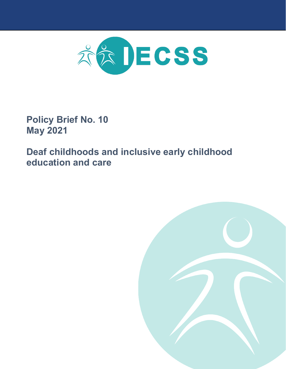

**Policy Brief No. 10 May 2021**

**Deaf childhoods and inclusive early childhood education and care**

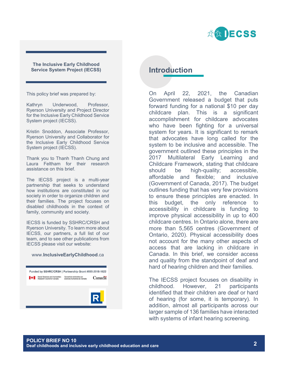

#### **The Inclusive Early Childhood Service System Project (IECSS)**

This policy brief was prepared by:

Kathryn Underwood, Professor, Ryerson University and Project Director for the Inclusive Early Childhood Service System project (IECSS).

Kristin Snoddon, Associate Professor, Ryerson University and Collaborator for the Inclusive Early Childhood Service System project (IECSS).

Thank you to Thanh Thanh Chung and Laura Feltham for their research assistance on this brief.

The IECSS project is a multi-year partnership that seeks to understand how institutions are constituted in our society in order to organize children and their families. The project focuses on disabled childhoods in the context of family, community and society.

IECSS is funded by SSHRC/CRSH and Ryerson University. To learn more about IECSS, our partners, a full list of our team, and to see other publications from IECSS please visit our website:

#### www.**InclusiveEarlyChildhood**.ca

|   |                                                              | Funded by SSHRC/CRSH   Partnership Grant #895-2018-1022 |        |
|---|--------------------------------------------------------------|---------------------------------------------------------|--------|
| M | Social Sciences and Humanities<br>Research Council of Canada | Conseil de recherches en<br>sciences humaines du Canada | Canada |
|   |                                                              |                                                         |        |
|   |                                                              |                                                         | R      |

# **Introduction**

On April 22, 2021, the Canadian Government released a budget that puts forward funding for a national \$10 per day childcare plan. This is a significant accomplishment for childcare advocates who have been fighting for a universal system for years. It is significant to remark that advocates have long called for the system to be inclusive and accessible. The government outlined these principles in the 2017 Multilateral Early Learning and Childcare Framework, stating that childcare should be high-quality; accessible, affordable and flexible; and inclusive (Government of Canada, 2017). The budget outlines funding that has very few provisions to ensure these principles are enacted. In this budget, the only reference to accessibility in childcare is funding to improve physical accessibility in up to 400 childcare centres. In Ontario alone, there are more than 5,565 centres (Government of Ontario, 2020). Physical accessibility does not account for the many other aspects of access that are lacking in childcare in Canada. In this brief, we consider access and quality from the standpoint of deaf and hard of hearing children and their families.

The IECSS project focuses on disability in childhood. However, 21 participants identified that their children are deaf or hard of hearing (for some, it is temporary). In addition, almost all participants across our larger sample of 136 families have interacted with systems of infant hearing screening.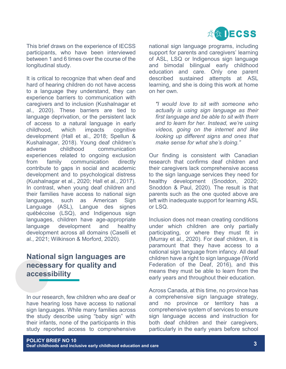

This brief draws on the experience of IECSS participants, who have been interviewed between 1 and 6 times over the course of the longitudinal study.

It is critical to recognize that when deaf and hard of hearing children do not have access to a language they understand, they can experience barriers to communication with caregivers and to inclusion (Kushalnagar et al., 2020). These barriers are tied to language deprivation, or the persistent lack of access to a natural language in early childhood, which impacts cognitive development (Hall et al., 2018; Spellun & Kushalnagar, 2018). Young deaf children's adverse childhood communication experiences related to ongoing exclusion from family communication directly contribute to gaps in social and academic development and to psychological distress (Kushalnagar et al., 2020; Hall et al., 2017). In contrast, when young deaf children and their families have access to national sign languages, such as American Sign Language (ASL), Langue des signes québécoise (LSQ), and Indigenous sign languages, children have age-appropriate language development and healthy development across all domains (Caselli et al., 2021; Wilkinson & Morford, 2020).

# **National sign languages are necessary for quality and accessibility**

In our research, few children who are deaf or have hearing loss have access to national sign languages. While many families across the study describe using "baby sign" with their infants, none of the participants in this study reported access to comprehensive

national sign language programs, including support for parents and caregivers' learning of ASL, LSQ or Indigenous sign language and bimodal bilingual early childhood education and care. Only one parent described sustained attempts at ASL learning, and she is doing this work at home on her own.

*"I would love to sit with someone who actually is using sign language as their first language and be able to sit with them and to learn for her. Instead, we're using videos, going on the internet and like looking up different signs and ones that make sense for what she's doing."*

Our finding is consistent with Canadian research that confirms deaf children and their caregivers lack comprehensive access to the sign language services they need for healthy development (Snoddon, 2020; Snoddon & Paul, 2020). The result is that parents such as the one quoted above are left with inadequate support for learning ASL or LSQ.

Inclusion does not mean creating conditions under which children are only partially participating, or where they must fit in (Murray et al., 2020). For deaf children, it is paramount that they have access to a national sign language from infancy. All deaf children have a right to sign language (World Federation of the Deaf, 2016), and this means they must be able to learn from the early years and throughout their education.

Across Canada, at this time, no province has a comprehensive sign language strategy, and no province or territory has a comprehensive system of services to ensure sign language access and instruction for both deaf children and their caregivers, particularly in the early years before school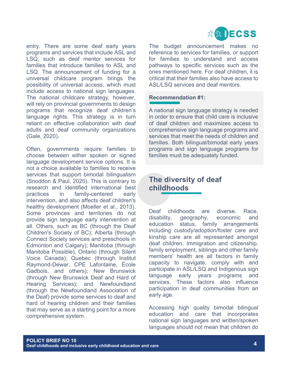

entry. There are some deaf early years programs and services that include ASL and LSQ, such as deaf mentor services for families that introduce families to ASL and LSQ. The announcement of funding for a universal childcare program brings the possibility of universal access, which must include access to national sign languages. The national childcare strategy, however, will rely on provincial governments to design programs that recognize deaf children's language rights. This strategy is in turn reliant on effective collaboration with deaf adults and deaf community organizations (Gale, 2020).

Often, governments require families to choose between either spoken or signed language development service options. It is not a choice available to families to receive services that support bimodal bilingualism (Snoddon & Paul, 2020). This is contrary to research and identified international best practices in family-centered early intervention, and also affects deaf children's healthy development (Moeller et al., 2013). Some provinces and territories do not provide sign language early intervention at all. Others, such as BC (through the Deaf Children's Society of BC); Alberta (through Connect Society services and preschools in Edmonton and Calgary); Manitoba (through Manitoba Possible), Ontario (through Silent Voice Canada); Quebec (through Institut Raymond-Dewar, CPE Lafontaine, École Gadbois, and others); New Brunswick (through New Brunswick Deaf and Hard of Hearing Services); and Newfoundland (through the Newfoundland Association of the Deaf) provide some services to deaf and hard of hearing children and their families that may serve as a starting point for a more comprehensive system.

The budget announcement makes no reference to services for families, or support for families to understand and access pathways to specific services such as the ones mentioned here. For deaf children, it is critical that their families also have access to ASL/LSQ services and deaf mentors.

### **Recommendation #1:**

A national sign language strategy is needed in order to ensure that child care is inclusive of deaf children and maximizes access to comprehensive sign language programs and services that meet the needs of children and families. Both bilingual/bimodal early years programs and sign language programs for families must be adequately funded.

# **The diversity of deaf childhoods**

Deaf childhoods are diverse. Race, disability, geography, economic and education status, family arrangements including custody/adoption/foster care and kinship care are all represented amongst deaf children. Immigration and citizenship, family employment, siblings and other family members' health are all factors in family capacity to navigate, comply with and participate in ASL/LSQ and Indigenous sign language early years programs and services. These factors also influence participation in deaf communities from an early age.

Accessing high quality bimodal bilingual education and care that incorporates national sign languages and written/spoken languages should not mean that children do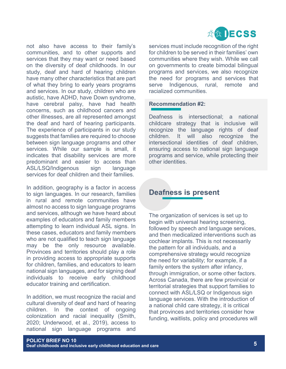

not also have access to their family's communities, and to other supports and services that they may want or need based on the diversity of deaf childhoods. In our study, deaf and hard of hearing children have many other characteristics that are part of what they bring to early years programs and services. In our study, children who are autistic, have ADHD, have Down syndrome, have cerebral palsy, have had health concerns, such as childhood cancers and other illnesses, are all represented amongst the deaf and hard of hearing participants. The experience of participants in our study suggests that families are required to choose between sign language programs and other services. While our sample is small, it indicates that disability services are more predominant and easier to access than ASL/LSQ/Indigenous sign language services for deaf children and their families.

In addition, geography is a factor in access to sign languages. In our research, families in rural and remote communities have almost no access to sign language programs and services, although we have heard about examples of educators and family members attempting to learn individual ASL signs. In these cases, educators and family members who are not qualified to teach sign language may be the only resource available. Provinces and territories should play a role in providing access to appropriate supports for children, families, and educators to learn national sign languages, and for signing deaf individuals to receive early childhood educator training and certification.

In addition, we must recognize the racial and cultural diversity of deaf and hard of hearing children. In the context of ongoing colonization and racial inequality (Smith, 2020; Underwood, et al., 2019), access to national sign language programs and

services must include recognition of the right for children to be served in their families' own communities where they wish. While we call on governments to create bimodal bilingual programs and services, we also recognize the need for programs and services that serve Indigenous, rural, remote and racialized communities.

### **Recommendation #2:**

Deafness is intersectional; a national childcare strategy that is inclusive will recognize the language rights of deaf children. It will also recognize the intersectional identities of deaf children, ensuring access to national sign language programs and service, while protecting their other identities.

# **Deafness is present**

The organization of services is set up to begin with universal hearing screening, followed by speech and language services, and then medicalized interventions such as cochlear implants. This is not necessarily the pattern for all individuals, and a comprehensive strategy would recognize the need for variability; for example, if a family enters the system after infancy, through immigration, or some other factors. Across Canada, there are few provincial or territorial strategies that support families to connect with ASL/LSQ or Indigenous sign language services. With the introduction of a national child care strategy, it is critical that provinces and territories consider how funding, waitlists, policy and procedures will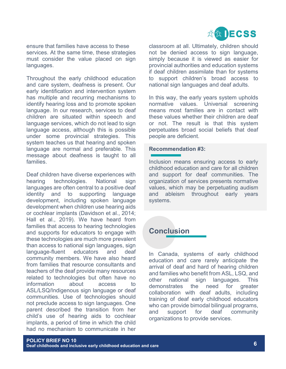

ensure that families have access to these services. At the same time, these strategies must consider the value placed on sign languages.

Throughout the early childhood education and care system, deafness is present. Our early identification and intervention system has multiple and recurring mechanisms to identify hearing loss and to promote spoken language. In our research, services to deaf children are situated within speech and language services, which do not lead to sign language access, although this is possible under some provincial strategies. This system teaches us that hearing and spoken language are normal and preferable. This message about deafness is taught to all families.

Deaf children have diverse experiences with hearing technologies. National sign languages are often central to a positive deaf identity and to supporting language development, including spoken language development when children use hearing aids or cochlear implants (Davidson et al., 2014; Hall et al., 2019). We have heard from families that access to hearing technologies and supports for educators to engage with these technologies are much more prevalent than access to national sign languages, sign language-fluent educators and deaf community members. We have also heard from families that resource consultants and teachers of the deaf provide many resources related to technologies but often have no information about access to ASL/LSQ/Indigenous sign language or deaf communities. Use of technologies should not preclude access to sign languages. One parent described the transition from her child's use of hearing aids to cochlear implants, a period of time in which the child had no mechanism to communicate in her

classroom at all. Ultimately, children should not be denied access to sign language, simply because it is viewed as easier for provincial authorities and education systems if deaf children assimilate than for systems to support children's broad access to national sign languages and deaf adults.

In this way, the early years system upholds normative values. Universal screening means most families are in contact with these values whether their children are deaf or not. The result is that this system perpetuates broad social beliefs that deaf people are deficient.

### **Recommendation #3:**

Inclusion means ensuring access to early childhood education and care for all children and support for deaf communities. The organization of services presents normative values, which may be perpetuating audism and ableism throughout early years systems.

# **Conclusion**

In Canada, systems of early childhood education and care rarely anticipate the arrival of deaf and hard of hearing children and families who benefit from ASL, LSQ, and other national sign languages. This demonstrates the need for greater collaboration with deaf adults, including training of deaf early childhood educators who can provide bimodal bilingual programs, and support for deaf community organizations to provide services.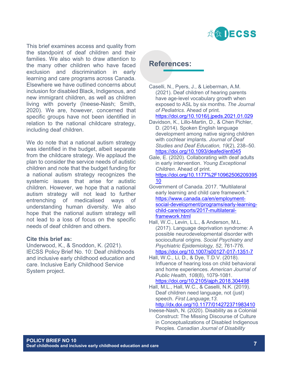

This brief examines access and quality from the standpoint of deaf children and their families. We also wish to draw attention to the many other children who have faced exclusion and discrimination in early learning and care programs across Canada. Elsewhere we have outlined concerns about inclusion for disabled Black, Indigenous, and new immigrant children, as well as children living with poverty (Ineese-Nash; Smith, 2020). We are, however, concerned that specific groups have not been identified in relation to the national childcare strategy, including deaf children.

We do note that a national autism strategy was identified in the budget, albeit separate from the childcare strategy. We applaud the plan to consider the service needs of autistic children and note that the budget funding for a national autism strategy recognizes the systemic issues that arise for autistic children. However, we hope that a national autism strategy will not lead to further entrenching of medicalised ways of understanding human diversity. We also hope that the national autism strategy will not lead to a loss of focus on the specific needs of deaf children and others.

#### **Cite this brief as:**

Underwood, K., & Snoddon, K. (2021). IECSS Policy Brief No. 10: Deaf childhoods and inclusive early childhood education and care. Inclusive Early Childhood Service System project.

### **References:**

Caselli, N., Pyers, J., & Lieberman, A.M. (2021). Deaf children of hearing parents have age-level vocabulary growth when exposed to ASL by six months. *The Journal of Pediatrics*. Ahead of print.

### <https://doi.org/10.1016/j.jpeds.2021.01.029>

- Davidson, K., Lillo-Martin, D., & Chen Pichler, D. (2014). Spoken English language development among native signing children with cochlear implants. *Journal of Deaf Studies and Deaf Education, 19*(2), 238–50. <https://doi.org/10.1093/deafed/ent045>
- Gale, E. (2020). Collaborating with deaf adults in early intervention. *Young Exceptional Children*. Ahead of print. [https://doi.org/10.1177%2F10962506209395](https://doi.org/10.1177%2F1096250620939510) [10](https://doi.org/10.1177%2F1096250620939510)
- Government of Canada. 2017. "Multilateral early learning and child care framework." [https://www.canada.ca/en/employment](https://www.canada.ca/en/employment-social-development/programs/early-learning-child-care/reports/2017-multilateral-framework.html)[social-development/programs/early-learning](https://www.canada.ca/en/employment-social-development/programs/early-learning-child-care/reports/2017-multilateral-framework.html)[child-care/reports/2017-multilateral](https://www.canada.ca/en/employment-social-development/programs/early-learning-child-care/reports/2017-multilateral-framework.html)[framework.html](https://www.canada.ca/en/employment-social-development/programs/early-learning-child-care/reports/2017-multilateral-framework.html)
- Hall, W.C., Levin, L.L., & Anderson, M.L. (2017). Language deprivation syndrome: A possible neurodevelopmental disorder with sociocultural origins. *Social Psychiatry and Psychiatric Epidemiology, 52*, 761-776. <https://doi.org/10.1007/s00127-017-1351-7>
- Hall, W.C., Li, D., & Dye, T.D.V. (2018). Influence of hearing loss on child behavioral and home experiences. *American Journal of Public Health, 108*(8), 1079-1081. <https://doi.org/10.2105/ajph.2018.304498>
- Hall, M.L., Hall, W.C., & Caselli, N.K. (2019). Deaf children need language, not (just) speech. *First Language,13*. <http://dx.doi.org/10.1177/014272371983410>
- Ineese-Nash, N. (2020). Disability as a Colonial Construct: The Missing Discourse of Culture in Conceptualizations of Disabled Indigenous Peoples. *Canadian Journal of Disability*